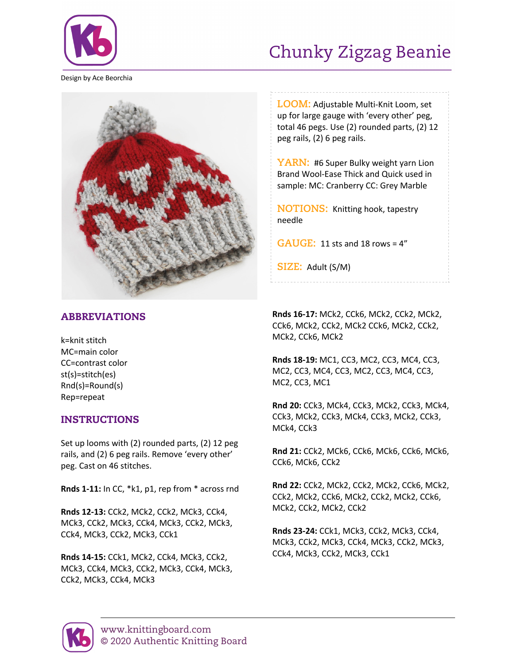

## Chunky Zigzag Beanie

Design by Ace Beorchia



## ABBREVIATIONS

k=knit stitch MC=main color CC=contrast color st(s)=stitch(es) Rnd(s)=Round(s) Rep=repeat

## INSTRUCTIONS

Set up looms with (2) rounded parts, (2) 12 peg rails, and (2) 6 peg rails. Remove 'every other' peg. Cast on 46 stitches.

**Rnds 1-11:** In CC, \*k1, p1, rep from \* across rnd

**Rnds 12-13:** CCk2, MCk2, CCk2, MCk3, CCk4, MCk3, CCk2, MCk3, CCk4, MCk3, CCk2, MCk3, CCk4, MCk3, CCk2, MCk3, CCk1

**Rnds 14-15:** CCk1, MCk2, CCk4, MCk3, CCk2, MCk3, CCk4, MCk3, CCk2, MCk3, CCk4, MCk3, CCk2, MCk3, CCk4, MCk3

**LOOM:** Adjustable Multi-Knit Loom, set up for large gauge with 'every other' peg, total 46 pegs. Use (2) rounded parts, (2) 12 peg rails, (2) 6 peg rails.

YARN: #6 Super Bulky weight yarn Lion Brand Wool-Ease Thick and Quick used in sample: MC: Cranberry CC: Grey Marble

**NOTIONS:** Knitting hook, tapestry needle

**GAUGE:** 11 sts and 18 rows = 4"

**SIZE:** Adult (S/M)

**Rnds 16-17:** MCk2, CCk6, MCk2, CCk2, MCk2, CCk6, MCk2, CCk2, MCk2 CCk6, MCk2, CCk2, MCk2, CCk6, MCk2

**Rnds 18-19:** MC1, CC3, MC2, CC3, MC4, CC3, MC2, CC3, MC4, CC3, MC2, CC3, MC4, CC3, MC2, CC3, MC1

**Rnd 20:** CCk3, MCk4, CCk3, MCk2, CCk3, MCk4, CCk3, MCk2, CCk3, MCk4, CCk3, MCk2, CCk3, MCk4, CCk3

**Rnd 21:** CCk2, MCk6, CCk6, MCk6, CCk6, MCk6, CCk6, MCk6, CCk2

**Rnd 22:** CCk2, MCk2, CCk2, MCk2, CCk6, MCk2, CCk2, MCk2, CCk6, MCk2, CCk2, MCk2, CCk6, MCk2, CCk2, MCk2, CCk2

**Rnds 23-24:** CCk1, MCk3, CCk2, MCk3, CCk4, MCk3, CCk2, MCk3, CCk4, MCk3, CCk2, MCk3, CCk4, MCk3, CCk2, MCk3, CCk1